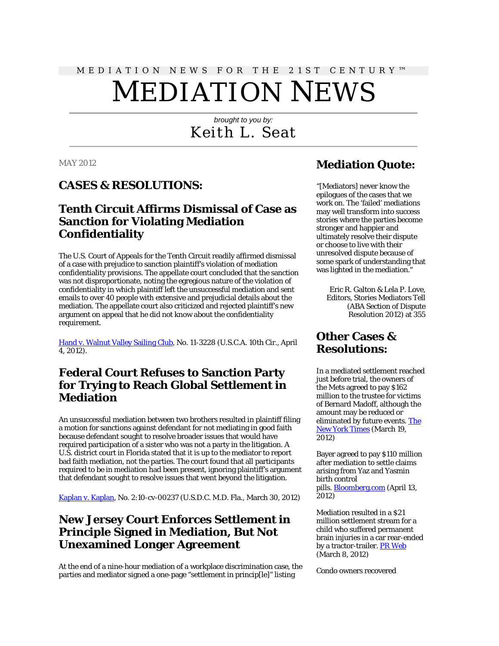# MEDIATION NEWS FOR THE 21ST CENTURY™ MEDIATION NEWS

# *brought to you by:* Keith L. Seat

#### MAY 2012

#### **CASES & RESOLUTIONS:**

# **Tenth Circuit Affirms Dismissal of Case as Sanction for Violating Mediation Confidentiality**

The U.S. Court of Appeals for the Tenth Circuit readily affirmed dismissal of a case with prejudice to sanction plaintiff's violation of mediation confidentiality provisions. The appellate court concluded that the sanction was not disproportionate, noting the egregious nature of the violation of confidentiality in which plaintiff left the unsuccessful mediation and sent emails to over 40 people with extensive and prejudicial details about the mediation. The appellate court also criticized and rejected plaintiff's new argument on appeal that he did not know about the confidentiality requirement.

[Hand v. Walnut Valley Sailing Club,](http://scholar.google.com/scholar_case?case=1917010138889641547&hl=en&lr=lang_en&as_sdt=2,9&as_vis=1&oi=scholaralrt) No. 11-3228 (U.S.C.A. 10th Cir., April 4, 2012).

#### **Federal Court Refuses to Sanction Party for Trying to Reach Global Settlement in Mediation**

An unsuccessful mediation between two brothers resulted in plaintiff filing a motion for sanctions against defendant for not mediating in good faith because defendant sought to resolve broader issues that would have required participation of a sister who was not a party in the litigation. A U.S. district court in Florida stated that it is up to the mediator to report bad faith mediation, not the parties. The court found that all participants required to be in mediation had been present, ignoring plaintiff's argument that defendant sought to resolve issues that went beyond the litigation.

[Kaplan v. Kaplan,](http://scholar.google.com/scholar_case?case=10324646322961181168&hl=en&lr=lang_en&as_sdt=2,9&as_vis=1&oi=scholaralrt) No. 2:10-cv-00237 (U.S.D.C. M.D. Fla., March 30, 2012)

#### **New Jersey Court Enforces Settlement in Principle Signed in Mediation, But Not Unexamined Longer Agreement**

At the end of a nine-hour mediation of a workplace discrimination case, the parties and mediator signed a one-page "settlement in princip[le]" listing

## **Mediation Quote:**

"[Mediators] never know the epilogues of the cases that we work on. The 'failed' mediations may well transform into success stories where the parties become stronger and happier and ultimately resolve their dispute or choose to live with their unresolved dispute because of some spark of understanding that was lighted in the mediation."

Eric R. Galton & Lela P. Love, Editors, Stories Mediators Tell (ABA Section of Dispute Resolution 2012) at 355

# **Other Cases & Resolutions:**

In a mediated settlement reached just before trial, the owners of the Mets agreed to pay \$162 million to the trustee for victims of Bernard Madoff, although the amount may be reduced or eliminated by future events. [The](http://www.nytimes.com/2012/03/20/sports/baseball/mets-owners-pay-162-million-to-settle-madoff-suit.html?pagewanted=1&_r=2)  [New York Times](http://www.nytimes.com/2012/03/20/sports/baseball/mets-owners-pay-162-million-to-settle-madoff-suit.html?pagewanted=1&_r=2) (March 19, 2012)

Bayer agreed to pay \$110 million after mediation to settle claims arising from Yaz and Yasmin birth control pills[. Bloomberg.com](http://www.bloomberg.com/news/2012-04-13/bayer-said-to-pay-110-million-in-yaz-birth-control-cases.html) (April 13, 2012)

Mediation resulted in a \$21 million settlement stream for a child who suffered permanent brain injuries in a car rear-ended by a tractor-trailer[. PR Web](http://www.prweb.com/releases/2012/3/prweb9249249.htm) (March 8, 2012)

Condo owners recovered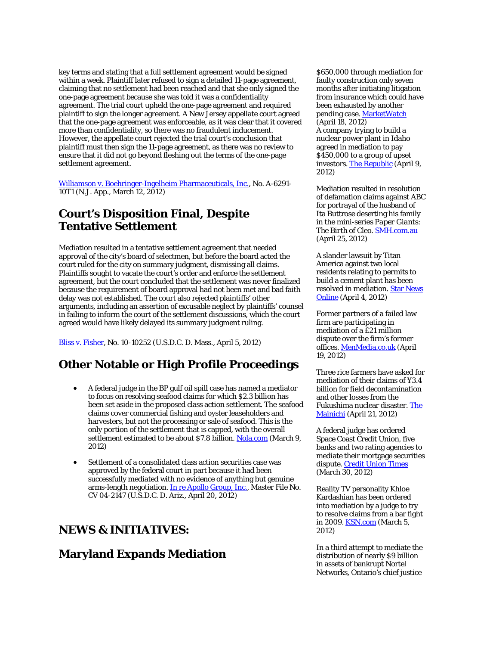key terms and stating that a full settlement agreement would be signed within a week. Plaintiff later refused to sign a detailed 11-page agreement, claiming that no settlement had been reached and that she only signed the one-page agreement because she was told it was a confidentiality agreement. The trial court upheld the one-page agreement and required plaintiff to sign the longer agreement. A New Jersey appellate court agreed that the one-page agreement was enforceable, as it was clear that it covered more than confidentiality, so there was no fraudulent inducement. However, the appellate court rejected the trial court's conclusion that plaintiff must then sign the 11-page agreement, as there was no review to ensure that it did not go beyond fleshing out the terms of the one-page settlement agreement.

[Williamson v. Boehringer-Ingelheim Pharmaceuticals, Inc.,](http://scholar.google.com/scholar_case?case=12548501764804640308&hl=en&lr=lang_en&as_sdt=2,9&as_vis=1&oi=scholaralrt) No. A-6291- 10T1 (N.J. App., March 12, 2012)

## **Court's Disposition Final, Despite Tentative Settlement**

Mediation resulted in a tentative settlement agreement that needed approval of the city's board of selectmen, but before the board acted the court ruled for the city on summary judgment, dismissing all claims. Plaintiffs sought to vacate the court's order and enforce the settlement agreement, but the court concluded that the settlement was never finalized because the requirement of board approval had not been met and bad faith delay was not established. The court also rejected plaintiffs' other arguments, including an assertion of excusable neglect by plaintiffs' counsel in failing to inform the court of the settlement discussions, which the court agreed would have likely delayed its summary judgment ruling.

[Bliss v. Fisher,](http://scholar.google.com/scholar_case?case=17804537901901881007&hl=en&lr=lang_en&as_sdt=2,9&as_vis=1&oi=scholaralrt) No. 10-10252 (U.S.D.C. D. Mass., April 5, 2012)

#### **Other Notable or High Profile Proceedings**

- A federal judge in the BP gulf oil spill case has named a mediator to focus on resolving seafood claims for which \$2.3 billion has been set aside in the proposed class action settlement. The seafood claims cover commercial fishing and oyster leaseholders and harvesters, but not the processing or sale of seafood. This is the only portion of the settlement that is capped, with the overall settlement estimated to be about \$7.8 billion[. Nola.com](http://www.nola.com/news/gulf-oil-spill/index.ssf/2012/03/court_mediator_appointed_to_ha.html) (March 9, 2012)
- Settlement of a consolidated class action securities case was approved by the federal court in part because it had been successfully mediated with no evidence of anything but genuine arms-length negotiation[. In re Apollo Group, Inc.,](http://scholar.google.com/scholar_case?case=9633220345413262993&hl=en&lr=lang_en&as_sdt=2,9&as_vis=1&oi=scholaralrt) Master File No. CV 04-2147 (U.S.D.C. D. Ariz., April 20, 2012)

#### **NEWS & INITIATIVES:**

#### **Maryland Expands Mediation**

\$650,000 through mediation for faulty construction only seven months after initiating litigation from insurance which could have been exhausted by another pending case[. MarketWatch](http://www.marketwatch.com/story/mission-district-condo-owners-recover-650000-for-faulty-construction-in-less-than-one-year-from-the-date-of-filing-a-lawsuit-2012-04-18) (April 18, 2012) A company trying to build a nuclear power plant in Idaho agreed in mediation to pay \$450,000 to a group of upset investors. [The Republic](http://www.therepublic.com/view/story/4e22663f7a9f46989b58d34ddc5236cd/ID--Nuclear-Project-Lawsuit-Mediation/) (April 9, 2012)

Mediation resulted in resolution of defamation claims against ABC for portrayal of the husband of Ita Buttrose deserting his family in the mini-series *Paper Giants: The Birth of Cleo*[. SMH.com.au](http://www.smh.com.au/entertainment/tv-and-radio/tv-show-lawsuit-settled-privately-20120424-1xjfg.html) (April 25, 2012)

A slander lawsuit by Titan America against two local residents relating to permits to build a cement plant has been resolved in mediation. [Star News](http://www.starnewsonline.com/article/20120404/ARTICLES/120409876/-1/news38?p=3&tc=pg)  [Online](http://www.starnewsonline.com/article/20120404/ARTICLES/120409876/-1/news38?p=3&tc=pg) (April 4, 2012)

Former partners of a failed law firm are participating in mediation of a £21 million dispute over the firm's former offices[. MenMedia.co.uk](http://menmedia.co.uk/manchestereveningnews/news/business/professionals/s/1491668_former-halliwells-partners-in-21m-mediation-talks) (April 19, 2012)

Three rice farmers have asked for mediation of their claims of ¥3.4 billion for field decontamination and other losses from the Fukushima nuclear disaster. [The](http://mainichi.jp/english/english/newsselect/news/20120421p2a00m0na007000c.html)  [Mainichi](http://mainichi.jp/english/english/newsselect/news/20120421p2a00m0na007000c.html) (April 21, 2012)

A federal judge has ordered Space Coast Credit Union, five banks and two rating agencies to mediate their mortgage securities dispute[. Credit Union Times](http://www.cutimes.com/2012/03/30/space-coast-wall-street-banks-ordered-to-attend-me?ref=hp) (March 30, 2012)

Reality TV personality Khloe Kardashian has been ordered into mediation by a judge to try to resolve claims from a bar fight in 2009. **KSN.com** (March 5, 2012)

In a third attempt to mediate the distribution of nearly \$9 billion in assets of bankrupt Nortel Networks, Ontario's chief justice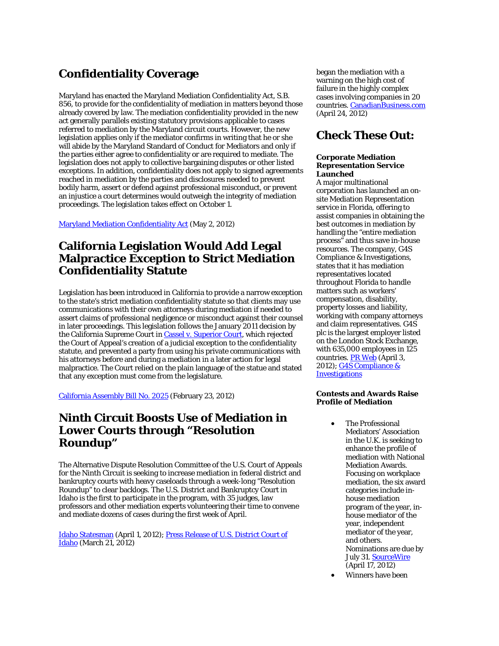# **Confidentiality Coverage**

Maryland has enacted the Maryland Mediation Confidentiality Act, S.B. 856, to provide for the confidentiality of mediation in matters beyond those already covered by law. The mediation confidentiality provided in the new act generally parallels existing statutory provisions applicable to cases referred to mediation by the Maryland circuit courts. However, the new legislation applies only if the mediator confirms in writing that he or she will abide by the Maryland Standard of Conduct for Mediators and only if the parties either agree to confidentiality or are required to mediate. The legislation does not apply to collective bargaining disputes or other listed exceptions. In addition, confidentiality does not apply to signed agreements reached in mediation by the parties and disclosures needed to prevent bodily harm, assert or defend against professional misconduct, or prevent an injustice a court determines would outweigh the integrity of mediation proceedings. The legislation takes effect on October 1.

[Maryland Mediation Confidentiality Act](http://mlis.state.md.us/2012rs/bills/sb/sb0856e.pdf) (May 2, 2012)

# **California Legislation Would Add Legal Malpractice Exception to Strict Mediation Confidentiality Statute**

Legislation has been introduced in California to provide a narrow exception to the state's strict mediation confidentiality statute so that clients may use communications with their own attorneys during mediation if needed to assert claims of professional negligence or misconduct against their counsel in later proceedings. This legislation follows the January 2011 decision by the California Supreme Court i[n Cassel v. Superior Court,](http://www.courtinfo.ca.gov/opinions/documents/S178914.PDF) which rejected the Court of Appeal's creation of a judicial exception to the confidentiality statute, and prevented a party from using his private communications with his attorneys before and during a mediation in a later action for legal malpractice. The Court relied on the plain language of the statue and stated that any exception must come from the legislature.

[California Assembly Bill No. 2025](http://www.leginfo.ca.gov/pub/11-12/bill/asm/ab_2001-2050/ab_2025_bill_20120223_introduced.pdf) (February 23, 2012)

## **Ninth Circuit Boosts Use of Mediation in Lower Courts through "Resolution Roundup"**

The Alternative Dispute Resolution Committee of the U.S. Court of Appeals for the Ninth Circuit is seeking to increase mediation in federal district and bankruptcy courts with heavy caseloads through a week-long "Resolution Roundup" to clear backlogs. The U.S. District and Bankruptcy Court in Idaho is the first to participate in the program, with 35 judges, law professors and other mediation experts volunteering their time to convene and mediate dozens of cases during the first week of April.

[Idaho Statesman](http://www.idahostatesman.com/2012/04/01/2059108/idaho-court-hosts-pro-bono-mediation.html) (April 1, 2012)[; Press Release of U.S. District Court of](http://www.google.com/url?sa=t&rct=j&q=&esrc=s&frm=1&source=web&cd=2&ved=0CGcQFjAB&url=http%3A%2F%2Fwww.hawleytroxell.com%2Fwp-content%2Fuploads%2F2012%2F03%2FPress-Release-and-Bios.pdf&ei=tTepT_bYFMb66QHrqbzaBA&usg=AFQjCNGsVVQC0-15Sh2A7gGZsSLE5m0P2w)  [Idaho](http://www.google.com/url?sa=t&rct=j&q=&esrc=s&frm=1&source=web&cd=2&ved=0CGcQFjAB&url=http%3A%2F%2Fwww.hawleytroxell.com%2Fwp-content%2Fuploads%2F2012%2F03%2FPress-Release-and-Bios.pdf&ei=tTepT_bYFMb66QHrqbzaBA&usg=AFQjCNGsVVQC0-15Sh2A7gGZsSLE5m0P2w) (March 21, 2012)

began the mediation with a warning on the high cost of failure in the highly complex cases involving companies in 20 countries. [CanadianBusiness.com](http://www.canadianbusiness.com/article/81036--mediation-starts-in-9-billion-nortel-bankruptcy-under-ontario-s-top-judge) (April 24, 2012)

#### **Check These Out:**

#### **Corporate Mediation Representation Service Launched**

A major multinational corporation has launched an onsite Mediation Representation service in Florida, offering to assist companies in obtaining the best outcomes in mediation by handling the "entire mediation process" and thus save in-house resources. The company, G4S Compliance & Investigations, states that it has mediation representatives located throughout Florida to handle matters such as workers' compensation, disability, property losses and liability, working with company attorneys and claim representatives. G4S plc is the largest employer listed on the London Stock Exchange, with 635,000 employees in 125 countries. [PR Web](http://www.prweb.com/releases/prweb2012/4/prweb9353532.htm) (April 3, 2012); [G4S Compliance &](http://www.g4s.us/investigations)  [Investigations](http://www.g4s.us/investigations)

#### **Contests and Awards Raise Profile of Mediation**

- The Professional Mediators' Association in the U.K. is seeking to enhance the profile of mediation with National Mediation Awards. Focusing on workplace mediation, the six award categories include inhouse mediation program of the year, inhouse mediator of the year, independent mediator of the year, and others. Nominations are due by July 31[. SourceWire](http://www.sourcewire.com/releases/rel_display.php?relid=71350) (April 17, 2012)
- Winners have been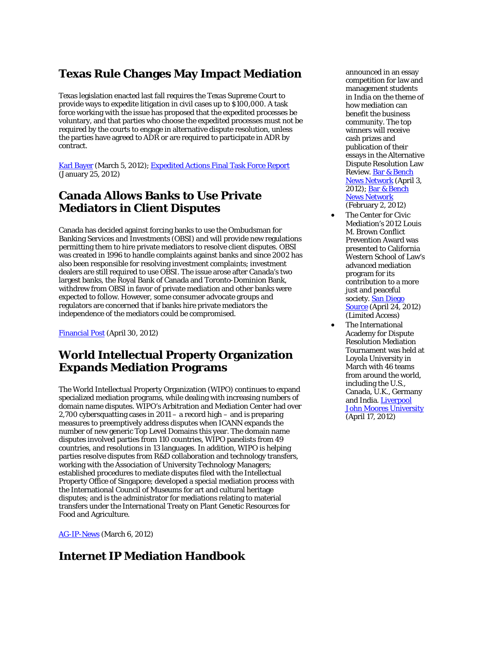# **Texas Rule Changes May Impact Mediation**

Texas legislation enacted last fall requires the Texas Supreme Court to provide ways to expedite litigation in civil cases up to \$100,000. A task force working with the issue has proposed that the expedited processes be voluntary, and that parties who choose the expedited processes must not be required by the courts to engage in alternative dispute resolution, unless the parties have agreed to ADR or are required to participate in ADR by contract.

[Karl Bayer](http://www.karlbayer.com/blog/guest-post-texas-loser-pays-rules-may-exclude-mediation-in-some-small-cases-but-overall-impact-muted/) (March 5, 2012); [Expedited Actions Final Task Force Report](http://iaals.du.edu/images/wygwam/documents/publications/SCAC_Expedited_Actions_Final_Task_Force_Report.pdf) (January 25, 2012)

## **Canada Allows Banks to Use Private Mediators in Client Disputes**

Canada has decided against forcing banks to use the Ombudsman for Banking Services and Investments (OBSI) and will provide new regulations permitting them to hire private mediators to resolve client disputes. OBSI was created in 1996 to handle complaints against banks and since 2002 has also been responsible for resolving investment complaints; investment dealers are still required to use OBSI. The issue arose after Canada's two largest banks, the Royal Bank of Canada and Toronto-Dominion Bank, withdrew from OBSI in favor of private mediation and other banks were expected to follow. However, some consumer advocate groups and regulators are concerned that if banks hire private mediators the independence of the mediators could be compromised.

[Financial Post](http://business.financialpost.com/2012/04/30/ottawa-to-set-new-rules-for-bank-mediators/) (April 30, 2012)

# **World Intellectual Property Organization Expands Mediation Programs**

The World Intellectual Property Organization (WIPO) continues to expand specialized mediation programs, while dealing with increasing numbers of domain name disputes. WIPO's Arbitration and Mediation Center had over 2,700 cybersquatting cases in 2011 – a record high – and is preparing measures to preemptively address disputes when ICANN expands the number of new generic Top Level Domains this year. The domain name disputes involved parties from 110 countries, WIPO panelists from 49 countries, and resolutions in 13 languages. In addition, WIPO is helping parties resolve disputes from R&D collaboration and technology transfers, working with the Association of University Technology Managers; established procedures to mediate disputes filed with the Intellectual Property Office of Singapore; developed a special mediation process with the International Council of Museums for art and cultural heritage disputes; and is the administrator for mediations relating to material transfers under the International Treaty on Plant Genetic Resources for Food and Agriculture.

[AG-IP-News](http://www.ag-ip-news.com/news.aspx?id=28077&lang=en) (March 6, 2012)

# **Internet IP Mediation Handbook**

announced in an essay competition for law and management students in India on the theme of how mediation can benefit the business community. The top winners will receive cash prizes and publication of their essays in the Alternative Dispute Resolution Law Review[. Bar & Bench](http://barandbench.com/brief/9/2221/bridge-mediation-essay-competition-announces-winners-all-winning-essays-to-feature-in-adr-law-review-magazine)  [News Network](http://barandbench.com/brief/9/2221/bridge-mediation-essay-competition-announces-winners-all-winning-essays-to-feature-in-adr-law-review-magazine) (April 3, 2012); [Bar & Bench](http://barandbench.com/brief/9/2021/bridge-mediation-and-adrlr-launch-essay-competition-on-mediation-entries-to-be-submitted-by-march-5-2012)  [News Network](http://barandbench.com/brief/9/2021/bridge-mediation-and-adrlr-launch-essay-competition-on-mediation-entries-to-be-submitted-by-march-5-2012) (February 2, 2012)

- The Center for Civic Mediation's 2012 Louis M. Brown Conflict Prevention Award was presented to California Western School of Law's advanced mediation program for its contribution to a more just and peaceful society. **San Diego** [Source](http://www.sddt.com/News/article.cfm?SourceCode=20120424tjb) (April 24, 2012) (Limited Access)
- The International Academy for Dispute Resolution Mediation Tournament was held at Loyola University in March with 46 teams from around the world, including the U.S., Canada, U.K., Germany and India. Liverpool [John Moores University](http://ljmu.ac.uk/NewsUpdate/index_123011.htm) (April 17, 2012)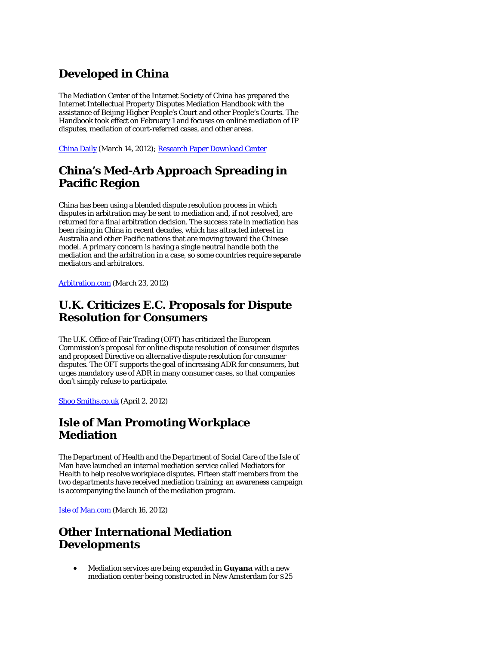# **Developed in China**

The Mediation Center of the Internet Society of China has prepared the Internet Intellectual Property Disputes Mediation Handbook with the assistance of Beijing Higher People's Court and other People's Courts. The Handbook took effect on February 1 and focuses on online mediation of IP disputes, mediation of court-referred cases, and other areas.

[China Daily](http://www.chinadaily.com.cn/m/xinjiang/urumqi_toutunhe/2012-03/14/content_14832873.htm) (March 14, 2012)[; Research Paper Download Center](http://eng.hi138.com/?i375633_Internet-Intellectual-Property-Dispute-Resolution-Manual-published)

# **China's Med-Arb Approach Spreading in Pacific Region**

China has been using a blended dispute resolution process in which disputes in arbitration may be sent to mediation and, if not resolved, are returned for a final arbitration decision. The success rate in mediation has been rising in China in recent decades, which has attracted interest in Australia and other Pacific nations that are moving toward the Chinese model. A primary concern is having a single neutral handle both the mediation and the arbitration in a case, so some countries require separate mediators and arbitrators.

[Arbitration.com](http://www.arbitration.com/articledetail.aspx/article/chinas-commercial-arbitration-and-mediation-model-gaining-prestige) (March 23, 2012)

# **U.K. Criticizes E.C. Proposals for Dispute Resolution for Consumers**

The U.K. Office of Fair Trading (OFT) has criticized the European Commission's proposal for online dispute resolution of consumer disputes and proposed Directive on alternative dispute resolution for consumer disputes. The OFT supports the goal of increasing ADR for consumers, but urges mandatory use of ADR in many consumer cases, so that companies don't simply refuse to participate.

[Shoo Smiths.co.uk](http://www.shoosmiths.co.uk/news/4103.asp) (April 2, 2012)

# **Isle of Man Promoting Workplace Mediation**

The Department of Health and the Department of Social Care of the Isle of Man have launched an internal mediation service called Mediators for Health to help resolve workplace disputes. Fifteen staff members from the two departments have received mediation training; an awareness campaign is accompanying the launch of the mediation program.

[Isle of Man.com](http://www.isleofman.com/News/article.aspx?article=44079) (March 16, 2012)

# **Other International Mediation Developments**

• Mediation services are being expanded in **Guyana** with a new mediation center being constructed in New Amsterdam for \$25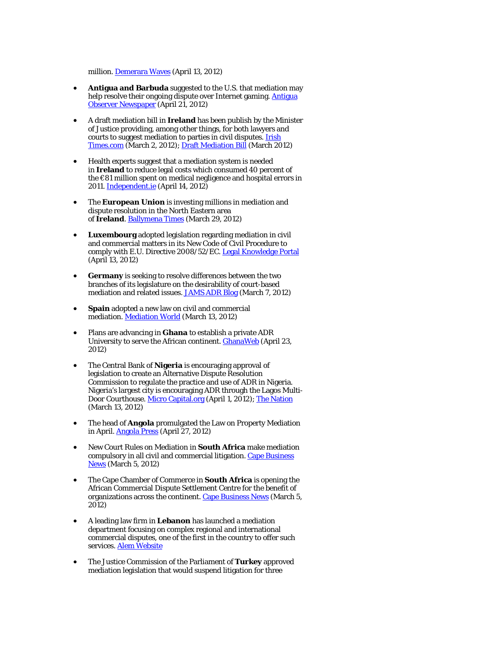million. [Demerara Waves](http://www.demerarawaves.com/index.php/201204133644/Latest/dpp-chambers-has-lost-its-way-apnus-williams.html) (April 13, 2012)

- **Antigua and Barbuda** suggested to the U.S. that mediation may help resolve their ongoing dispute over Internet gaming. Antigua [Observer Newspaper](http://www.antiguaobserver.com/?p=74170) (April 21, 2012)
- A draft mediation bill in **Ireland** has been publish by the Minister of Justice providing, among other things, for both lawyers and courts to suggest mediation to parties in civil disputes. [Irish](http://www.irishtimes.com/newspaper/ireland/2012/0302/1224312634859.html)  [Times.com](http://www.irishtimes.com/newspaper/ireland/2012/0302/1224312634859.html) (March 2, 2012)[; Draft Mediation Bill](http://www.inis.gov.ie/en/JELR/MedBillGSFinal.pdf/Files/MedBillGSFinal.pdf) (March 2012)
- Health experts suggest that a mediation system is needed in **Ireland** to reduce legal costs which consumed 40 percent of the €81 million spent on medical negligence and hospital errors in 2011. [Independent.ie](http://www.independent.ie/national-news/hospital-errors-cost-32m-in-legal-fees-3080824.html) (April 14, 2012)
- The **European Union** is investing millions in mediation and dispute resolution in the North Eastern area of **Ireland**. [Ballymena Times](http://www.ballymenatimes.com/news/local/4-1-million-of-peace-iii-funding-invested-in-the-north-eastern-area-1-3640231) (March 29, 2012)
- **Luxembourg** adopted legislation regarding mediation in civil and commercial matters in its New Code of Civil Procedure to comply with E.U. Directive 2008/52/EC. [Legal Knowledge Portal](http://legalknowledgeportal.com/2012/04/13/a-legal-basis-for-civil-and-commercial-mediation/) (April 13, 2012)
- **Germany** is seeking to resolve differences between the two branches of its legislature on the desirability of court-based mediation and related issues[. JAMS ADR Blog](http://jamsadrblog.com/2012/03/07/new-german-mediation-law%E2%80%A6sent-for-mediation/) (March 7, 2012)
- **Spain** adopted a new law on civil and commercial mediation. [Mediation World](http://www.mediationworld.net/spain/court_rules/full/231.html) (March 13, 2012)
- Plans are advancing in **Ghana** to establish a private ADR University to serve the African continent. **GhanaWeb** (April 23, 2012)
- The Central Bank of **Nigeria** is encouraging approval of legislation to create an Alternative Dispute Resolution Commission to regulate the practice and use of ADR in Nigeria. Nigeria's largest city is encouraging ADR through the Lagos Multi-Door Courthouse. [Micro Capital.org](http://www.microcapital.org/microcapital-brief-central-bank-of-nigeria-to-endorse-microfinance-development-fund-more-automated-teller-machines-atms-regulation-related-to-electronic-statements-dispute-resolution/) (April 1, 2012)[; The Nation](http://www.thenationonlineng.net/2011/index.php/law/39518-lagos-assembly-pledges-to-propagate-adr.html) (March 13, 2012)
- The head of **Angola** promulgated the Law on Property Mediation in April. [Angola Press](http://www.portalangop.co.ao/motix/en_us/noticias/politica/2012/3/17/President-promulgates-law-property-mediation,7aeab1f9-eb8b-4787-b3d3-416fc5a4c5b0.html) (April 27, 2012)
- New Court Rules on Mediation in **South Africa** make mediation compulsory in all civil and commercial litigation. [Cape Business](http://www.cbn.co.za/dailynews/6054.html)  [News](http://www.cbn.co.za/dailynews/6054.html) (March 5, 2012)
- The Cape Chamber of Commerce in **South Africa** is opening the African Commercial Dispute Settlement Centre for the benefit of organizations across the continent. [Cape Business News](http://www.cbn.co.za/dailynews/6054.html) (March 5, 2012)
- A leading law firm in **Lebanon** has launched a mediation department focusing on complex regional and international commercial disputes, one of the first in the country to offer such services. [Alem Website](http://www.alemlaw.com/index.php/arbitration-and-adr)
- The Justice Commission of the Parliament of **Turkey** approved mediation legislation that would suspend litigation for three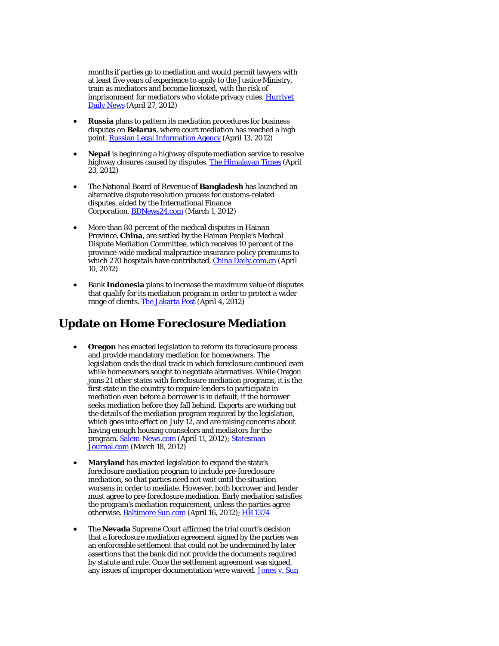months if parties go to mediation and would permit lawyers with at least five years of experience to apply to the Justice Ministry, train as mediators and become licensed, with the risk of imprisonment for mediators who violate privacy rules. Hurrivet [Daily News](http://www.hurriyetdailynews.com/mediation-bill-gets-approval.aspx?pageID=238&nID=19399&NewsCatID=338) (April 27, 2012)

- **Russia** plans to pattern its mediation procedures for business disputes on **Belarus**, where court mediation has reached a high point[. Russian Legal Information Agency](http://rapsinews.com/judicial_news/20120413/262801795.html) (April 13, 2012)
- **Nepal** is beginning a highway dispute mediation service to resolve highway closures caused by disputes. [The Himalayan Times](http://www.thehimalayantimes.com/fullNews.php?headline=Stage+set+for+highway+dispute+mediation+service+&NewsID=329260) (April 23, 2012)
- The National Board of Revenue of **Bangladesh** has launched an alternative dispute resolution process for customs-related disputes, aided by the International Finance Corporation. **BDNews24.com** (March 1, 2012)
- More than 80 percent of the medical disputes in Hainan Province, **China**, are settled by the Hainan People's Medical Dispute Mediation Committee, which receives 10 percent of the province-wide medical malpractice insurance policy premiums to which 270 hospitals have contributed. [China Daily.com.cn](http://www.chinadaily.com.cn/cndy/2012-04/10/content_15009050.htm) (April 10, 2012)
- Bank **Indonesia** plans to increase the maximum value of disputes that qualify for its mediation program in order to protect a wider range of clients. [The Jakarta Post](http://www.thejakartapost.com/news/2012/04/04/bi-mediate-larger-scale-banking-dispute.html) (April 4, 2012)

# **Update on Home Foreclosure Mediation**

- **Oregon** has enacted legislation to reform its foreclosure process and provide mandatory mediation for homeowners. The legislation ends the dual track in which foreclosure continued even while homeowners sought to negotiate alternatives. While Oregon joins 21 other states with foreclosure mediation programs, it is the first state in the country to require lenders to participate in mediation even before a borrower is in default, if the borrower seeks mediation before they fall behind. Experts are working out the details of the mediation program required by the legislation, which goes into effect on July 12, and are raising concerns about having enough housing counselors and mediators for the program. Salem-News.com (April 11, 2012); Statesman [Journal.com](http://www.statesmanjournal.com/article/20120319/NEWS/303190003/State-faces-challenges-creating-system-help-people-facing-foreclosure) (March 18, 2012)
- **Maryland** has enacted legislation to expand the state's foreclosure mediation program to include pre-foreclosure mediation, so that parties need not wait until the situation worsens in order to mediate. However, both borrower and lender must agree to pre-foreclosure mediation. Early mediation satisfies the program's mediation requirement, unless the parties agree otherwise[. Baltimore Sun.com](http://www.baltimoresun.com/business/real-estate/wonk/bal-wonk-new-laws-affecting-property-tax-credits-foreclosures-and-more-20120415,0,7852513.story?track=rss) (April 16, 2012); [HB 1374](http://mlis.state.md.us/2012rs/billfile/HB1374.htm)
- The **Nevada** Supreme Court affirmed the trial court's decision that a foreclosure mediation agreement signed by the parties was an enforceable settlement that could not be undermined by later assertions that the bank did not provide the documents required by statute and rule. Once the settlement agreement was signed, any issues of improper documentation were waived. [Jones v. Sun](http://scholar.google.com/scholar_case?case=2911337895506108560&hl=en&lr=lang_en&as_sdt=2,9&as_vis=1&oi=scholaralrt)